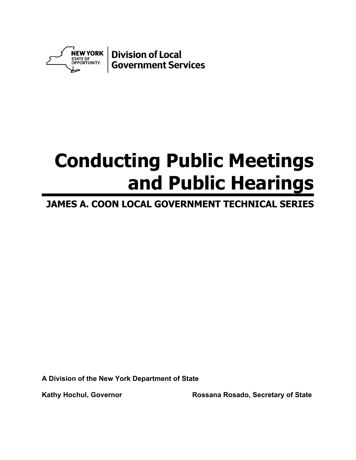

# **Conducting Public Meetings and Public Hearings**

# **JAMES A. COON LOCAL GOVERNMENT TECHNICAL SERIES**

**A Division of the New York Department of State**

Kathy Hochul, Governor **Rossana Rosado, Secretary of State**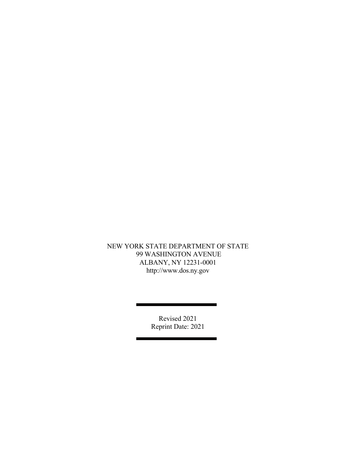#### NEW YORK STATE DEPARTMENT OF STATE 99 WASHINGTON AVENUE ALBANY, NY 12231-0001 http://www.dos.ny.gov

Revised 2021 Reprint Date: 2021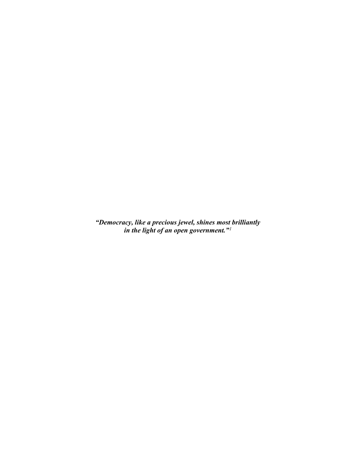*"Democracy, like a precious jewel, shines most brilliantly in the light of an open government."[1](#page-17-0)*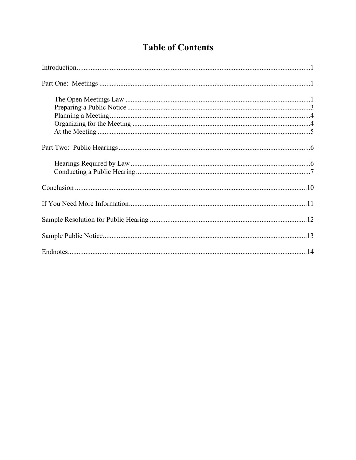## **Table of Contents**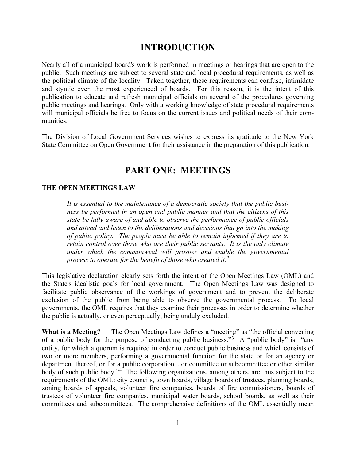## **INTRODUCTION**

Nearly all of a municipal board's work is performed in meetings or hearings that are open to the public. Such meetings are subject to several state and local procedural requirements, as well as the political climate of the locality. Taken together, these requirements can confuse, intimidate and stymie even the most experienced of boards. For this reason, it is the intent of this publication to educate and refresh municipal officials on several of the procedures governing public meetings and hearings. Only with a working knowledge of state procedural requirements will municipal officials be free to focus on the current issues and political needs of their communities.

The Division of Local Government Services wishes to express its gratitude to the New York State Committee on Open Government for their assistance in the preparation of this publication.

## **PART ONE: MEETINGS**

#### **THE OPEN MEETINGS LAW**

*It is essential to the maintenance of a democratic society that the public business be performed in an open and public manner and that the citizens of this state be fully aware of and able to observe the performance of public officials and attend and listen to the deliberations and decisions that go into the making of public policy. The people must be able to remain informed if they are to retain control over those who are their public servants. It is the only climate under which the commonweal will prosper and enable the governmental process to operate for the benefit of those who created it.[2](#page-17-1)*

This legislative declaration clearly sets forth the intent of the Open Meetings Law (OML) and the State's idealistic goals for local government. The Open Meetings Law was designed to facilitate public observance of the workings of government and to prevent the deliberate exclusion of the public from being able to observe the governmental process. To local governments, the OML requires that they examine their processes in order to determine whether the public is actually, or even perceptually, being unduly excluded.

**What is a Meeting?** — The Open Meetings Law defines a "meeting" as "the official convening of a public body for the purpose of conducting public business."<sup>[3](#page-17-2)</sup> A "public body" is "any entity, for which a quorum is required in order to conduct public business and which consists of two or more members, performing a governmental function for the state or for an agency or department thereof, or for a public corporation....or committee or subcommittee or other similar body of such public body."[4](#page-17-3) The following organizations, among others, are thus subject to the requirements of the OML: city councils, town boards, village boards of trustees, planning boards, zoning boards of appeals, volunteer fire companies, boards of fire commissioners, boards of trustees of volunteer fire companies, municipal water boards, school boards, as well as their committees and subcommittees. The comprehensive definitions of the OML essentially mean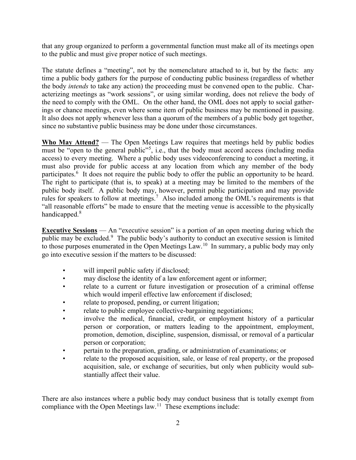that any group organized to perform a governmental function must make all of its meetings open to the public and must give proper notice of such meetings.

The statute defines a "meeting", not by the nomenclature attached to it, but by the facts: any time a public body gathers for the purpose of conducting public business (regardless of whether the body *intends* to take any action) the proceeding must be convened open to the public. Characterizing meetings as "work sessions", or using similar wording, does not relieve the body of the need to comply with the OML. On the other hand, the OML does not apply to social gatherings or chance meetings, even where some item of public business may be mentioned in passing. It also does not apply whenever less than a quorum of the members of a public body get together, since no substantive public business may be done under those circumstances.

**Who May Attend?** — The Open Meetings Law requires that meetings held by public bodies must be "open to the general public"<sup>[5](#page-17-4)</sup>, i.e., that the body must accord access (including media access) to every meeting. Where a public body uses videoconferencing to conduct a meeting, it must also provide for public access at any location from which any member of the body participates.<sup>[6](#page-17-5)</sup> It does not require the public body to offer the public an opportunity to be heard. The right to participate (that is, to speak) at a meeting may be limited to the members of the public body itself. A public body may, however, permit public participation and may provide rules for speakers to follow at meetings.<sup>[7](#page-17-6)</sup> Also included among the OML's requirements is that "all reasonable efforts" be made to ensure that the meeting venue is accessible to the physically handicapped.<sup>[8](#page-17-7)</sup>

**Executive Sessions** — An "executive session" is a portion of an open meeting during which the public may be excluded.<sup>[9](#page-17-8)</sup> The public body's authority to conduct an executive session is limited to those purposes enumerated in the Open Meetings Law.<sup>10</sup> In summary, a public body may only go into executive session if the matters to be discussed:

- will imperil public safety if disclosed;
- may disclose the identity of a law enforcement agent or informer;
- relate to a current or future investigation or prosecution of a criminal offense which would imperil effective law enforcement if disclosed;
- relate to proposed, pending, or current litigation;
- relate to public employee collective-bargaining negotiations;
- involve the medical, financial, credit, or employment history of a particular person or corporation, or matters leading to the appointment, employment, promotion, demotion, discipline, suspension, dismissal, or removal of a particular person or corporation;
- pertain to the preparation, grading, or administration of examinations; or
- relate to the proposed acquisition, sale, or lease of real property, or the proposed acquisition, sale, or exchange of securities, but only when publicity would substantially affect their value.

There are also instances where a public body may conduct business that is totally exempt from compliance with the Open Meetings law.<sup>11</sup> These exemptions include: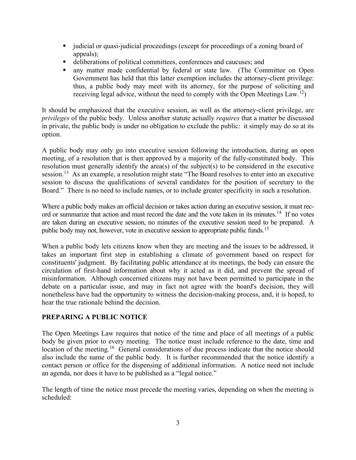- judicial or quasi-judicial proceedings (except for proceedings of a zoning board of appeals);
- deliberations of political committees, conferences and caucuses; and
- any matter made confidential by federal or state law. (The Committee on Open Government has held that this latter exemption includes the attorney-client privilege: thus, a public body may meet with its attorney, for the purpose of soliciting and receiving legal advice, without the need to comply with the Open Meetings Law.<sup>[12](#page-17-11)</sup>)

It should be emphasized that the executive session, as well as the attorney-client privilege, are *privileges* of the public body. Unless another statute actually *requires* that a matter be discussed in private, the public body is under no obligation to exclude the public: it simply may do so at its option.

A public body may only go into executive session following the introduction, during an open meeting, of a resolution that is then approved by a majority of the fully-constituted body. This resolution must generally identify the area(s) of the subject(s) to be considered in the executive session.<sup>[13](#page-17-12)</sup> As an example, a resolution might state "The Board resolves to enter into an executive session to discuss the qualifications of several candidates for the position of secretary to the Board." There is no need to include names, or to include greater specificity in such a resolution.

Where a public body makes an official decision or takes action during an executive session, it must rec-ord or summarize that action and must record the date and the vote taken in its minutes.<sup>[14](#page-17-13)</sup> If no votes are taken during an executive session, no minutes of the executive session need to be prepared. A public body may not, however, vote in executive session to appropriate public funds.<sup>[15](#page-17-14)</sup>

When a public body lets citizens know when they are meeting and the issues to be addressed, it takes an important first step in establishing a climate of government based on respect for constituents' judgment. By facilitating public attendance at its meetings, the body can ensure the circulation of first-hand information about why it acted as it did, and prevent the spread of misinformation. Although concerned citizens may not have been permitted to participate in the debate on a particular issue, and may in fact not agree with the board's decision, they will nonetheless have had the opportunity to witness the decision-making process, and, it is hoped, to hear the true rationale behind the decision.

#### **PREPARING A PUBLIC NOTICE**

The Open Meetings Law requires that notice of the time and place of all meetings of a public body be given prior to every meeting. The notice must include reference to the date, time and location of the meeting.<sup>16</sup> General considerations of due process indicate that the notice should also include the name of the public body. It is further recommended that the notice identify a contact person or office for the dispensing of additional information. A notice need not include an agenda, nor does it have to be published as a "legal notice."

The length of time the notice must precede the meeting varies, depending on when the meeting is scheduled: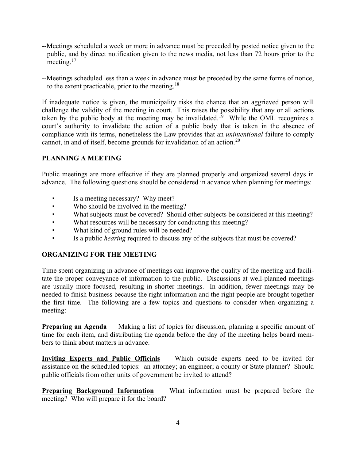- --Meetings scheduled a week or more in advance must be preceded by posted notice given to the public, and by direct notification given to the news media, not less than 72 hours prior to the meeting.<sup>[17](#page-17-16)</sup>
- --Meetings scheduled less than a week in advance must be preceded by the same forms of notice, to the extent practicable, prior to the meeting.<sup>[18](#page-17-17)</sup>

If inadequate notice is given, the municipality risks the chance that an aggrieved person will challenge the validity of the meeting in court. This raises the possibility that any or all actions taken by the public body at the meeting may be invalidated.<sup>19</sup> While the OML recognizes a court's authority to invalidate the action of a public body that is taken in the absence of compliance with its terms, nonetheless the Law provides that an *unintentional* failure to comply cannot, in and of itself, become grounds for invalidation of an action.<sup>[20](#page-17-19)</sup>

#### **PLANNING A MEETING**

Public meetings are more effective if they are planned properly and organized several days in advance. The following questions should be considered in advance when planning for meetings:

- Is a meeting necessary? Why meet?
- Who should be involved in the meeting?
- What subjects must be covered? Should other subjects be considered at this meeting?
- What resources will be necessary for conducting this meeting?
- What kind of ground rules will be needed?
- Is a public *hearing* required to discuss any of the subjects that must be covered?

#### **ORGANIZING FOR THE MEETING**

Time spent organizing in advance of meetings can improve the quality of the meeting and facilitate the proper conveyance of information to the public. Discussions at well-planned meetings are usually more focused, resulting in shorter meetings. In addition, fewer meetings may be needed to finish business because the right information and the right people are brought together the first time. The following are a few topics and questions to consider when organizing a meeting:

**Preparing an Agenda** — Making a list of topics for discussion, planning a specific amount of time for each item, and distributing the agenda before the day of the meeting helps board members to think about matters in advance.

**Inviting Experts and Public Officials** — Which outside experts need to be invited for assistance on the scheduled topics: an attorney; an engineer; a county or State planner? Should public officials from other units of government be invited to attend?

**Preparing Background Information** — What information must be prepared before the meeting? Who will prepare it for the board?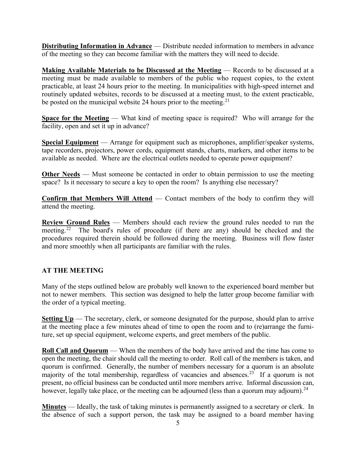**Distributing Information in Advance** — Distribute needed information to members in advance of the meeting so they can become familiar with the matters they will need to decide.

**Making Available Materials to be Discussed at the Meeting** — Records to be discussed at a meeting must be made available to members of the public who request copies, to the extent practicable, at least 24 hours prior to the meeting. In municipalities with high-speed internet and routinely updated websites, records to be discussed at a meeting must, to the extent practicable, be posted on the municipal website 24 hours prior to the meeting.<sup>[21](#page-17-20)</sup>

**Space for the Meeting** — What kind of meeting space is required? Who will arrange for the facility, open and set it up in advance?

**Special Equipment** — Arrange for equipment such as microphones, amplifier/speaker systems, tape recorders, projectors, power cords, equipment stands, charts, markers, and other items to be available as needed. Where are the electrical outlets needed to operate power equipment?

**Other Needs** — Must someone be contacted in order to obtain permission to use the meeting space? Is it necessary to secure a key to open the room? Is anything else necessary?

**Confirm that Members Will Attend** — Contact members of the body to confirm they will attend the meeting.

**Review Ground Rules** — Members should each review the ground rules needed to run the meeting.<sup>[22](#page-17-21)</sup> The board's rules of procedure (if there are any) should be checked and the procedures required therein should be followed during the meeting. Business will flow faster and more smoothly when all participants are familiar with the rules.

#### **AT THE MEETING**

Many of the steps outlined below are probably well known to the experienced board member but not to newer members. This section was designed to help the latter group become familiar with the order of a typical meeting.

**Setting Up** — The secretary, clerk, or someone designated for the purpose, should plan to arrive at the meeting place a few minutes ahead of time to open the room and to (re)arrange the furniture, set up special equipment, welcome experts, and greet members of the public.

**Roll Call and Quorum** — When the members of the body have arrived and the time has come to open the meeting, the chair should call the meeting to order. Roll call of the members is taken, and quorum is confirmed. Generally, the number of members necessary for a quorum is an absolute majority of the total membership, regardless of vacancies and absences.<sup>[23](#page-17-22)</sup> If a quorum is not present, no official business can be conducted until more members arrive. Informal discussion can, however, legally take place, or the meeting can be adjourned (less than a quorum may adjourn). $^{24}$  $^{24}$  $^{24}$ 

**Minutes** — Ideally, the task of taking minutes is permanently assigned to a secretary or clerk. In the absence of such a support person, the task may be assigned to a board member having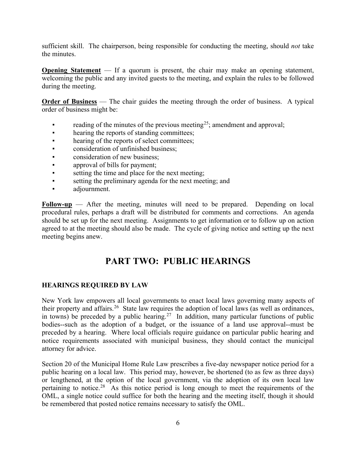sufficient skill. The chairperson, being responsible for conducting the meeting, should *not* take the minutes.

**Opening Statement** — If a quorum is present, the chair may make an opening statement, welcoming the public and any invited guests to the meeting, and explain the rules to be followed during the meeting.

**Order of Business** — The chair guides the meeting through the order of business. A typical order of business might be:

- reading of the minutes of the previous meeting<sup>25</sup>; amendment and approval;
- hearing the reports of standing committees;
- hearing of the reports of select committees;
- **•** consideration of unfinished business:
- **•** consideration of new business;
- **•** approval of bills for payment;
- setting the time and place for the next meeting;
- setting the preliminary agenda for the next meeting; and
- adjournment.

**Follow-up** — After the meeting, minutes will need to be prepared. Depending on local procedural rules, perhaps a draft will be distributed for comments and corrections. An agenda should be set up for the next meeting. Assignments to get information or to follow up on action agreed to at the meeting should also be made. The cycle of giving notice and setting up the next meeting begins anew.

## **PART TWO: PUBLIC HEARINGS**

#### **HEARINGS REQUIRED BY LAW**

New York law empowers all local governments to enact local laws governing many aspects of their property and affairs.[26](#page-17-25) State law requires the adoption of local laws (as well as ordinances, in towns) be preceded by a public hearing.<sup>27</sup> In addition, many particular functions of public bodies--such as the adoption of a budget, or the issuance of a land use approval--must be preceded by a hearing. Where local officials require guidance on particular public hearing and notice requirements associated with municipal business, they should contact the municipal attorney for advice.

Section 20 of the Municipal Home Rule Law prescribes a five-day newspaper notice period for a public hearing on a local law. This period may, however, be shortened (to as few as three days) or lengthened, at the option of the local government, via the adoption of its own local law pertaining to notice.[28](#page-17-27) As this notice period is long enough to meet the requirements of the OML, a single notice could suffice for both the hearing and the meeting itself, though it should be remembered that posted notice remains necessary to satisfy the OML.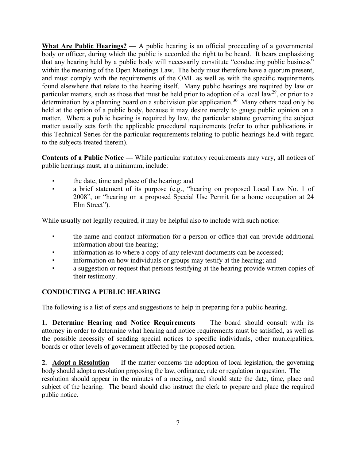**What Are Public Hearings?** — A public hearing is an official proceeding of a governmental body or officer, during which the public is accorded the right to be heard. It bears emphasizing that any hearing held by a public body will necessarily constitute "conducting public business" within the meaning of the Open Meetings Law. The body must therefore have a quorum present, and must comply with the requirements of the OML as well as with the specific requirements found elsewhere that relate to the hearing itself. Many public hearings are required by law on particular matters, such as those that must be held prior to adoption of a local law<sup>29</sup>, or prior to a determination by a planning board on a subdivision plat application.<sup>30</sup> Many others need only be held at the option of a public body, because it may desire merely to gauge public opinion on a matter. Where a public hearing is required by law, the particular statute governing the subject matter usually sets forth the applicable procedural requirements (refer to other publications in this Technical Series for the particular requirements relating to public hearings held with regard to the subjects treated therein).

**Contents of a Public Notice —** While particular statutory requirements may vary, all notices of public hearings must, at a minimum, include:

- the date, time and place of the hearing; and
- a brief statement of its purpose (e.g., "hearing on proposed Local Law No. 1 of 2008", or "hearing on a proposed Special Use Permit for a home occupation at 24 Elm Street").

While usually not legally required, it may be helpful also to include with such notice:

- the name and contact information for a person or office that can provide additional information about the hearing;
- information as to where a copy of any relevant documents can be accessed;
- **•** information on how individuals or groups may testify at the hearing; and
- a suggestion or request that persons testifying at the hearing provide written copies of their testimony.

#### **CONDUCTING A PUBLIC HEARING**

The following is a list of steps and suggestions to help in preparing for a public hearing.

**1. Determine Hearing and Notice Requirements** — The board should consult with its attorney in order to determine what hearing and notice requirements must be satisfied, as well as the possible necessity of sending special notices to specific individuals, other municipalities, boards or other levels of government affected by the proposed action.

**2. Adopt a Resolution** — If the matter concerns the adoption of local legislation, the governing body should adopt a resolution proposing the law, ordinance, rule or regulation in question. The resolution should appear in the minutes of a meeting, and should state the date, time, place and subject of the hearing. The board should also instruct the clerk to prepare and place the required public notice.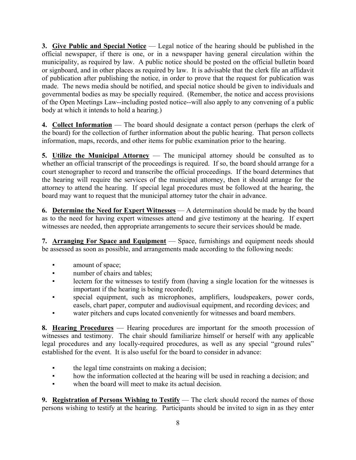**3. Give Public and Special Notice** — Legal notice of the hearing should be published in the official newspaper, if there is one, or in a newspaper having general circulation within the municipality, as required by law. A public notice should be posted on the official bulletin board or signboard, and in other places as required by law. It is advisable that the clerk file an affidavit of publication after publishing the notice, in order to prove that the request for publication was made. The news media should be notified, and special notice should be given to individuals and governmental bodies as may be specially required. (Remember, the notice and access provisions of the Open Meetings Law--including posted notice--will also apply to any convening of a public body at which it intends to hold a hearing.)

**4. Collect Information** — The board should designate a contact person (perhaps the clerk of the board) for the collection of further information about the public hearing. That person collects information, maps, records, and other items for public examination prior to the hearing.

**5. Utilize the Municipal Attorney** — The municipal attorney should be consulted as to whether an official transcript of the proceedings is required. If so, the board should arrange for a court stenographer to record and transcribe the official proceedings. If the board determines that the hearing will require the services of the municipal attorney, then it should arrange for the attorney to attend the hearing. If special legal procedures must be followed at the hearing, the board may want to request that the municipal attorney tutor the chair in advance.

**6. Determine the Need for Expert Witnesses** — A determination should be made by the board as to the need for having expert witnesses attend and give testimony at the hearing. If expert witnesses are needed, then appropriate arrangements to secure their services should be made.

**7. Arranging For Space and Equipment** — Space, furnishings and equipment needs should be assessed as soon as possible, and arrangements made according to the following needs:

- amount of space;
- number of chairs and tables;
- lectern for the witnesses to testify from (having a single location for the witnesses is important if the hearing is being recorded);
- special equipment, such as microphones, amplifiers, loudspeakers, power cords, easels, chart paper, computer and audiovisual equipment, and recording devices; and
- water pitchers and cups located conveniently for witnesses and board members.

**8. Hearing Procedures** — Hearing procedures are important for the smooth procession of witnesses and testimony. The chair should familiarize himself or herself with any applicable legal procedures and any locally-required procedures, as well as any special "ground rules" established for the event. It is also useful for the board to consider in advance:

- the legal time constraints on making a decision;
- how the information collected at the hearing will be used in reaching a decision; and
- when the board will meet to make its actual decision.

**9.** Registration of Persons Wishing to Testify — The clerk should record the names of those persons wishing to testify at the hearing. Participants should be invited to sign in as they enter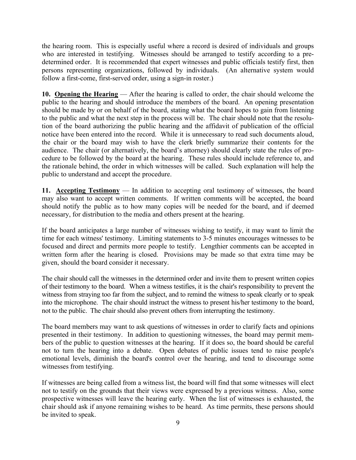the hearing room. This is especially useful where a record is desired of individuals and groups who are interested in testifying. Witnesses should be arranged to testify according to a predetermined order. It is recommended that expert witnesses and public officials testify first, then persons representing organizations, followed by individuals. (An alternative system would follow a first-come, first-served order, using a sign-in roster.)

**10. Opening the Hearing** — After the hearing is called to order, the chair should welcome the public to the hearing and should introduce the members of the board. An opening presentation should be made by or on behalf of the board, stating what the board hopes to gain from listening to the public and what the next step in the process will be. The chair should note that the resolution of the board authorizing the public hearing and the affidavit of publication of the official notice have been entered into the record. While it is unnecessary to read such documents aloud, the chair or the board may wish to have the clerk briefly summarize their contents for the audience. The chair (or alternatively, the board's attorney) should clearly state the rules of procedure to be followed by the board at the hearing. These rules should include reference to, and the rationale behind, the order in which witnesses will be called. Such explanation will help the public to understand and accept the procedure.

**11. Accepting Testimony** — In addition to accepting oral testimony of witnesses, the board may also want to accept written comments. If written comments will be accepted, the board should notify the public as to how many copies will be needed for the board, and if deemed necessary, for distribution to the media and others present at the hearing.

If the board anticipates a large number of witnesses wishing to testify, it may want to limit the time for each witness' testimony. Limiting statements to 3-5 minutes encourages witnesses to be focused and direct and permits more people to testify. Lengthier comments can be accepted in written form after the hearing is closed. Provisions may be made so that extra time may be given, should the board consider it necessary.

The chair should call the witnesses in the determined order and invite them to present written copies of their testimony to the board. When a witness testifies, it is the chair's responsibility to prevent the witness from straying too far from the subject, and to remind the witness to speak clearly or to speak into the microphone. The chair should instruct the witness to present his/her testimony to the board, not to the public. The chair should also prevent others from interrupting the testimony.

The board members may want to ask questions of witnesses in order to clarify facts and opinions presented in their testimony. In addition to questioning witnesses, the board may permit members of the public to question witnesses at the hearing. If it does so, the board should be careful not to turn the hearing into a debate. Open debates of public issues tend to raise people's emotional levels, diminish the board's control over the hearing, and tend to discourage some witnesses from testifying.

If witnesses are being called from a witness list, the board will find that some witnesses will elect not to testify on the grounds that their views were expressed by a previous witness. Also, some prospective witnesses will leave the hearing early. When the list of witnesses is exhausted, the chair should ask if anyone remaining wishes to be heard. As time permits, these persons should be invited to speak.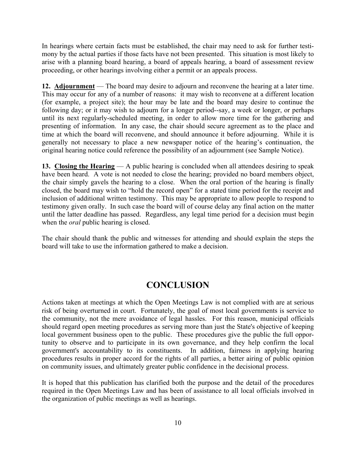In hearings where certain facts must be established, the chair may need to ask for further testimony by the actual parties if those facts have not been presented. This situation is most likely to arise with a planning board hearing, a board of appeals hearing, a board of assessment review proceeding, or other hearings involving either a permit or an appeals process.

**12. Adjournment** — The board may desire to adjourn and reconvene the hearing at a later time. This may occur for any of a number of reasons: it may wish to reconvene at a different location (for example, a project site); the hour may be late and the board may desire to continue the following day; or it may wish to adjourn for a longer period--say, a week or longer, or perhaps until its next regularly-scheduled meeting, in order to allow more time for the gathering and presenting of information. In any case, the chair should secure agreement as to the place and time at which the board will reconvene, and should announce it before adjourning. While it is generally not necessary to place a new newspaper notice of the hearing's continuation, the original hearing notice could reference the possibility of an adjournment (see Sample Notice).

**13. Closing the Hearing** — A public hearing is concluded when all attendees desiring to speak have been heard. A vote is not needed to close the hearing; provided no board members object, the chair simply gavels the hearing to a close. When the oral portion of the hearing is finally closed, the board may wish to "hold the record open" for a stated time period for the receipt and inclusion of additional written testimony. This may be appropriate to allow people to respond to testimony given orally. In such case the board will of course delay any final action on the matter until the latter deadline has passed. Regardless, any legal time period for a decision must begin when the *oral* public hearing is closed.

The chair should thank the public and witnesses for attending and should explain the steps the board will take to use the information gathered to make a decision.

## **CONCLUSION**

Actions taken at meetings at which the Open Meetings Law is not complied with are at serious risk of being overturned in court. Fortunately, the goal of most local governments is service to the community, not the mere avoidance of legal hassles. For this reason, municipal officials should regard open meeting procedures as serving more than just the State's objective of keeping local government business open to the public. These procedures give the public the full opportunity to observe and to participate in its own governance, and they help confirm the local government's accountability to its constituents. In addition, fairness in applying hearing procedures results in proper accord for the rights of all parties, a better airing of public opinion on community issues, and ultimately greater public confidence in the decisional process.

It is hoped that this publication has clarified both the purpose and the detail of the procedures required in the Open Meetings Law and has been of assistance to all local officials involved in the organization of public meetings as well as hearings.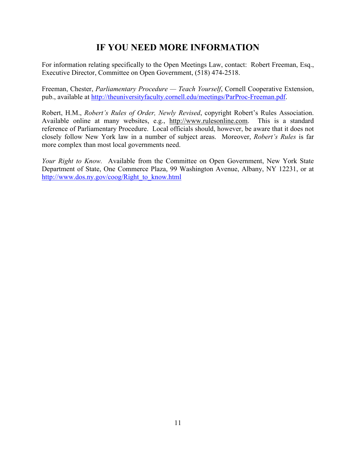## **IF YOU NEED MORE INFORMATION**

For information relating specifically to the Open Meetings Law, contact: Robert Freeman, Esq., Executive Director, Committee on Open Government, (518) 474-2518.

Freeman, Chester, *Parliamentary Procedure — Teach Yourself*, Cornell Cooperative Extension, pub., available at [http://theuniversityfaculty.cornell.edu/meetings/ParProc-Freeman.pdf.](http://theuniversityfaculty.cornell.edu/meetings/ParProc-Freeman.pdf)

Robert, H.M., *Robert's Rules of Order, Newly Revised*, copyright Robert's Rules Association. Available online at many websites, e.g., http://www.rulesonline.com. This is a standard reference of Parliamentary Procedure. Local officials should, however, be aware that it does not closely follow New York law in a number of subject areas. Moreover, *Robert's Rules* is far more complex than most local governments need.

*Your Right to Know.* Available from the Committee on Open Government, New York State Department of State, One Commerce Plaza, 99 Washington Avenue, Albany, NY 12231, or at [http://www.dos.ny.gov/coog/Right\\_to\\_know.html](http://www.dos.ny.gov/coog/Right_to_know.html)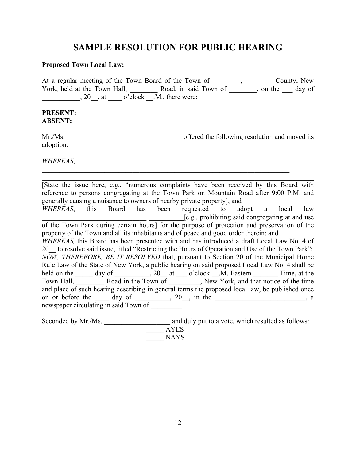## **SAMPLE RESOLUTION FOR PUBLIC HEARING**

#### **Proposed Town Local Law:**

At a regular meeting of the Town Board of the Town of \_\_\_\_\_\_\_, \_\_\_\_\_\_\_\_\_ County, New York, held at the Town Hall, \_\_\_\_\_\_\_\_\_ Road, in said Town of \_\_\_\_\_\_\_, on the \_\_\_\_ day of  $, 20$ , at  $\qquad$  o'clock  $\overline{M}$ , there were:

#### **PRESENT: ABSENT:**

Mr./Ms. The same offered the following resolution and moved its adoption:

\_\_\_\_\_\_\_\_\_\_\_\_\_\_\_\_\_\_\_\_\_\_\_\_\_\_\_\_\_\_\_\_\_\_\_\_\_\_\_\_\_\_\_\_\_\_\_\_\_\_\_\_\_\_\_\_\_\_\_\_\_\_\_\_\_\_\_\_\_\_\_

*WHEREAS*,

\_\_\_\_\_\_\_\_\_\_\_\_\_\_\_\_\_\_\_\_\_\_\_\_\_\_\_\_\_\_\_\_\_\_\_\_\_\_\_\_\_\_\_\_\_\_\_\_\_\_\_\_\_\_\_\_\_\_\_\_\_\_\_\_\_\_\_\_\_\_\_\_\_\_\_\_\_\_ [State the issue here, e.g., "numerous complaints have been received by this Board with reference to persons congregating at the Town Park on Mountain Road after 9:00 P.M. and generally causing a nuisance to owners of nearby private property], and *WHEREAS*, this Board has been requested to adopt a local law [e.g., prohibiting said congregating at and use of the Town Park during certain hours] for the purpose of protection and preservation of the property of the Town and all its inhabitants and of peace and good order therein; and *WHEREAS,* this Board has been presented with and has introduced a draft Local Law No. 4 of 20 to resolve said issue, titled "Restricting the Hours of Operation and Use of the Town Park"; *NOW, THEREFORE, BE IT RESOLVED* that, pursuant to Section 20 of the Municipal Home Rule Law of the State of New York, a public hearing on said proposed Local Law No. 4 shall be held on the \_\_\_\_\_ day of \_\_\_\_\_\_\_\_, 20\_\_ at \_\_\_\_ o'clock \_\_.M. Eastern \_\_\_\_\_\_\_\_ Time, at the Town Hall, \_\_\_\_\_\_\_\_ Road in the Town of \_\_\_\_\_\_\_\_\_, New York, and that notice of the time and place of such hearing describing in general terms the proposed local law, be published once on or before the  $\_\_\_$  day of  $\_\_\_\_$ , 20, in the  $\_\_\_\_\_\_$ , a newspaper circulating in said Town of \_\_\_\_\_\_\_\_\_.

Seconded by Mr./Ms. \_\_\_\_\_\_\_\_\_\_\_\_\_\_\_\_\_\_\_ and duly put to a vote, which resulted as follows:

\_\_\_\_\_ AYES \_\_\_\_\_ NAYS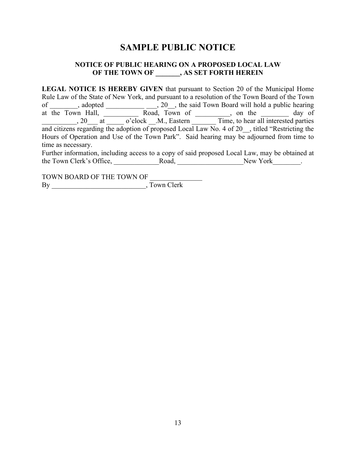## **SAMPLE PUBLIC NOTICE**

#### **NOTICE OF PUBLIC HEARING ON A PROPOSED LOCAL LAW OF THE TOWN OF \_\_\_\_\_\_\_, AS SET FORTH HEREIN**

**LEGAL NOTICE IS HEREBY GIVEN** that pursuant to Section 20 of the Municipal Home Rule Law of the State of New York, and pursuant to a resolution of the Town Board of the Town of \_\_\_\_\_\_\_\_, adopted \_\_\_\_\_\_\_\_\_\_\_\_\_\_\_\_\_, 20\_\_, the said Town Board will hold a public hearing at the Town Hall, \_\_\_\_\_\_\_\_\_\_\_ Road, Town of \_\_\_\_\_\_\_\_\_, on the \_\_\_\_\_\_\_\_ day of \_\_\_\_\_\_\_\_\_\_, 20\_\_\_ at \_\_\_\_\_ o'clock \_\_.M., Eastern \_\_\_\_\_\_\_ Time, to hear all interested parties and citizens regarding the adoption of proposed Local Law No. 4 of 20  $\,$ , titled "Restricting the Hours of Operation and Use of the Town Park". Said hearing may be adjourned from time to time as necessary.

Further information, including access to a copy of said proposed Local Law, may be obtained at the Town Clerk's Office, \_\_\_\_\_\_\_\_\_\_\_\_\_Road, \_\_\_\_\_\_\_\_\_\_\_\_\_\_\_\_\_\_\_New York\_\_\_\_\_\_\_\_.

TOWN BOARD OF THE TOWN OF \_\_\_\_\_\_\_\_\_\_\_\_\_\_\_ By \_\_\_\_\_\_\_\_\_\_\_\_\_\_\_\_\_\_\_\_\_\_\_\_\_\_\_, Town Clerk